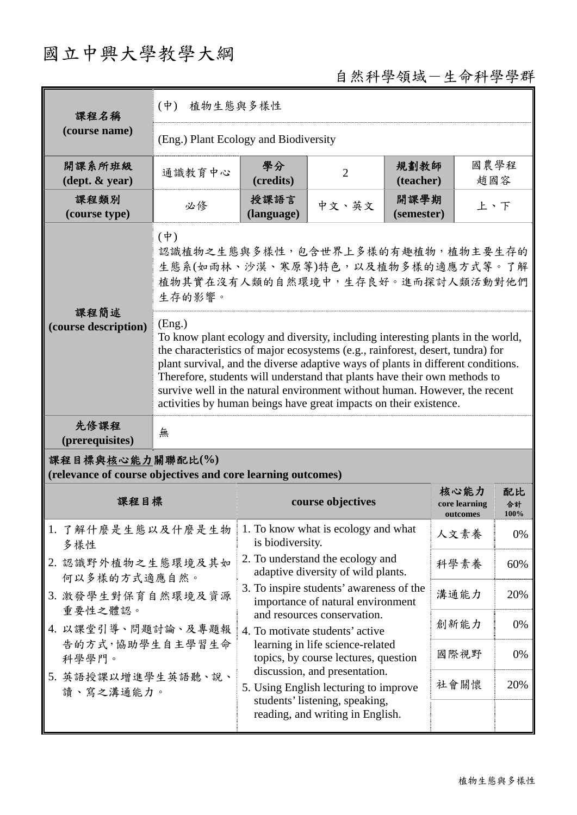## 國立中興大學教學大綱

## 自然科學領域-生命科學學群

| 課程名稱                                                                            | 植物生態與多樣性<br>$(\dot{\Psi})$                                                                                                                                                                                                                                                                                                                                                                                                                                                                      |                                                                                  |                                                                               |                                   |                  |     |  |
|---------------------------------------------------------------------------------|-------------------------------------------------------------------------------------------------------------------------------------------------------------------------------------------------------------------------------------------------------------------------------------------------------------------------------------------------------------------------------------------------------------------------------------------------------------------------------------------------|----------------------------------------------------------------------------------|-------------------------------------------------------------------------------|-----------------------------------|------------------|-----|--|
| (course name)                                                                   | (Eng.) Plant Ecology and Biodiversity                                                                                                                                                                                                                                                                                                                                                                                                                                                           |                                                                                  |                                                                               |                                   |                  |     |  |
| 開課系所班級<br>$(\text{dept.} \& \text{ year})$                                      | 通識教育中心                                                                                                                                                                                                                                                                                                                                                                                                                                                                                          | 學分<br>(credits)                                                                  | $\overline{2}$                                                                | 規劃教師<br>(teacher)                 | 國農學程<br>趙國容      |     |  |
| 課程類別<br>(course type)                                                           | 必修                                                                                                                                                                                                                                                                                                                                                                                                                                                                                              | 授課語言<br>(language)                                                               | 中文、英文                                                                         | 開課學期<br>(semester)                | 上、下              |     |  |
|                                                                                 | $(\phi)$<br>認識植物之生態與多樣性,包含世界上多樣的有趣植物,植物主要生存的<br>生態系(如雨林、沙漠、寒原等)特色,以及植物多樣的適應方式等。了解<br>植物其實在沒有人類的自然環境中,生存良好。進而探討人類活動對他們<br>生存的影響。                                                                                                                                                                                                                                                                                                                                                                 |                                                                                  |                                                                               |                                   |                  |     |  |
| 課程簡述<br>(course description)                                                    | (Eng.)<br>To know plant ecology and diversity, including interesting plants in the world,<br>the characteristics of major ecosystems (e.g., rainforest, desert, tundra) for<br>plant survival, and the diverse adaptive ways of plants in different conditions.<br>Therefore, students will understand that plants have their own methods to<br>survive well in the natural environment without human. However, the recent<br>activities by human beings have great impacts on their existence. |                                                                                  |                                                                               |                                   |                  |     |  |
| 先修課程<br>(prerequisites)                                                         | 無                                                                                                                                                                                                                                                                                                                                                                                                                                                                                               |                                                                                  |                                                                               |                                   |                  |     |  |
| 課程目標與核心能力關聯配比(%)<br>(relevance of course objectives and core learning outcomes) |                                                                                                                                                                                                                                                                                                                                                                                                                                                                                                 |                                                                                  |                                                                               |                                   |                  |     |  |
| 課程目標                                                                            |                                                                                                                                                                                                                                                                                                                                                                                                                                                                                                 | course objectives                                                                |                                                                               | 核心能力<br>core learning<br>outcomes | 配比<br>合計<br>100% |     |  |
| 1. 了解什麼是生態以及什麼是生物<br>多樣性                                                        |                                                                                                                                                                                                                                                                                                                                                                                                                                                                                                 | is biodiversity.                                                                 | 1. To know what is ecology and what                                           |                                   | 人文素養             | 0%  |  |
|                                                                                 | 2. 認識野外植物之生態環境及其如<br>何以多樣的方式適應自然。<br>3. 激發學生對保育自然環境及資源                                                                                                                                                                                                                                                                                                                                                                                                                                          |                                                                                  | 2. To understand the ecology and<br>adaptive diversity of wild plants.        |                                   | 科學素養             | 60% |  |
|                                                                                 |                                                                                                                                                                                                                                                                                                                                                                                                                                                                                                 |                                                                                  | 3. To inspire students' awareness of the<br>importance of natural environment |                                   |                  | 20% |  |
| 重要性之體認。<br>4. 以課堂引導、問題討論、及專題報                                                   |                                                                                                                                                                                                                                                                                                                                                                                                                                                                                                 | and resources conservation.<br>4. To motivate students' active                   |                                                                               |                                   | 創新能力             | 0%  |  |
| 告的方式, 協助學生自主學習生命<br>科學學門。<br>5. 英語授課以增進學生英語聽、說、<br>讀、寫之溝通能力。                    |                                                                                                                                                                                                                                                                                                                                                                                                                                                                                                 | learning in life science-related<br>國際視野<br>topics, by course lectures, question |                                                                               |                                   |                  | 0%  |  |
|                                                                                 |                                                                                                                                                                                                                                                                                                                                                                                                                                                                                                 | discussion, and presentation.<br>社會關懷<br>5. Using English lecturing to improve   |                                                                               |                                   | 20%              |     |  |
|                                                                                 |                                                                                                                                                                                                                                                                                                                                                                                                                                                                                                 | students' listening, speaking,<br>reading, and writing in English.               |                                                                               |                                   |                  |     |  |